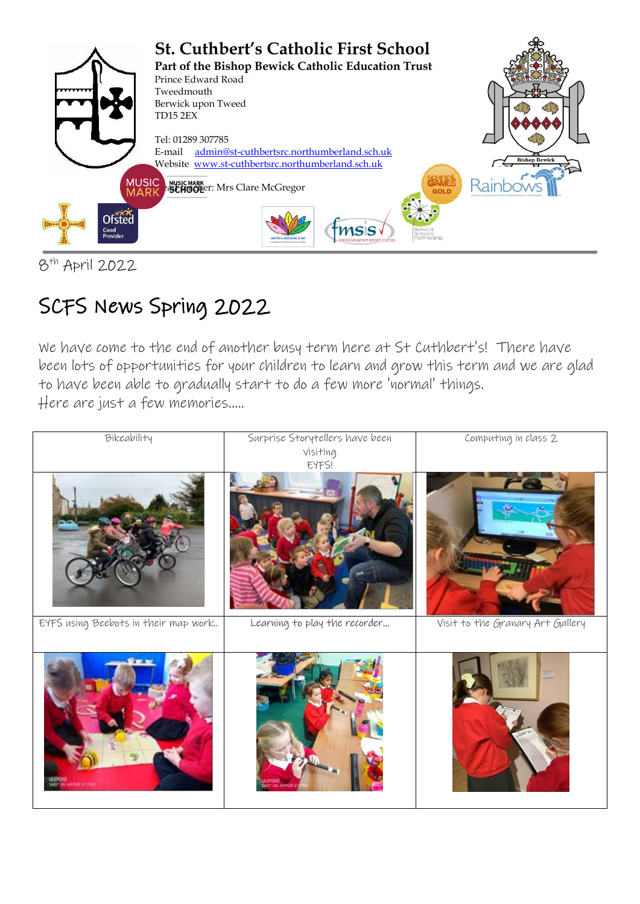

8 th April 2022

# SCFS News Spring 2022

We have come to the end of another busy term here at St Cuthbert's! There have been lots of opportunities for your children to learn and grow this term and we are glad to have been able to gradually start to do a few more 'normal' things. Here are just a few memories…..

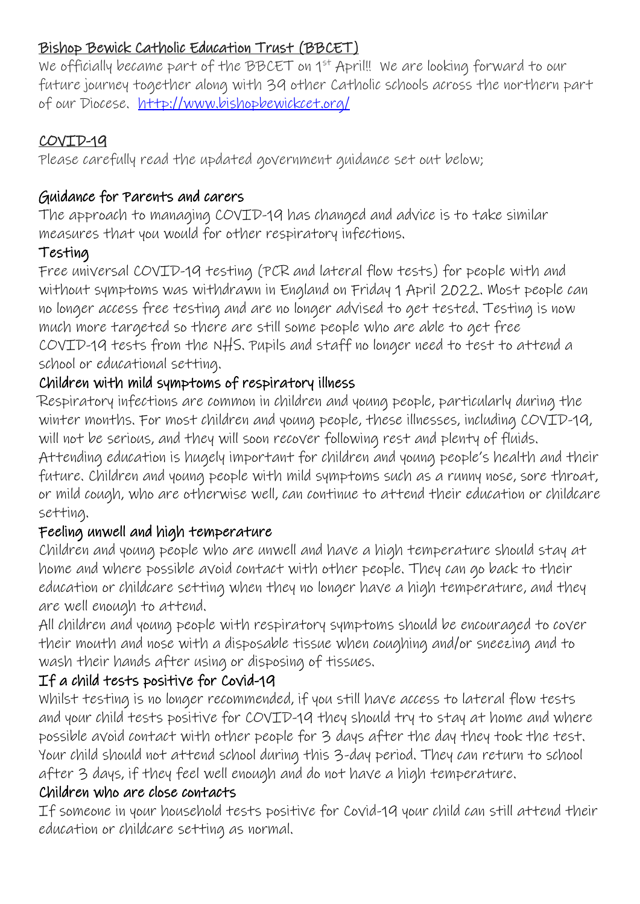#### Bishop Bewick Catholic Education Trust (BBCET)

We officially became part of the BBCET on 1<sup>st</sup> April!! We are looking forward to our future journey together along with 39 other Catholic schools across the northern part of our Diocese. <http://www.bishopbewickcet.org/>

#### COVID-19

Please carefully read the updated government guidance set out below;

#### Guidance for Parents and carers

The approach to managing COVID-19 has changed and advice is to take similar measures that you would for other respiratory infections.

# Testing

Free universal COVID-19 testing (PCR and lateral flow tests) for people with and without symptoms was withdrawn in England on Friday 1 April 2022. Most people can no longer access free testing and are no longer advised to get tested. Testing is now much more targeted so there are still some people who are able to get free COVID-19 tests from the NHS. Pupils and staff no longer need to test to attend a school or educational setting.

# Children with mild symptoms of respiratory illness

Respiratory infections are common in children and young people, particularly during the winter months. For most children and young people, these illnesses, including COVID-19, will not be serious, and they will soon recover following rest and plenty of fluids. Attending education is hugely important for children and young people's health and their future. Children and young people with mild symptoms such as a runny nose, sore throat, or mild cough, who are otherwise well, can continue to attend their education or childcare setting.

# Feeling unwell and high temperature

Children and young people who are unwell and have a high temperature should stay at home and where possible avoid contact with other people. They can go back to their education or childcare setting when they no longer have a high temperature, and they are well enough to attend.

All children and young people with respiratory symptoms should be encouraged to cover their mouth and nose with a disposable tissue when coughing and/or sneezing and to wash their hands after using or disposing of tissues.

# If a child tests positive for Covid-19

Whilst testing is no longer recommended, if you still have access to lateral flow tests and your child tests positive for COVID-19 they should try to stay at home and where possible avoid contact with other people for 3 days after the day they took the test. Your child should not attend school during this 3-day period. They can return to school after 3 days, if they feel well enough and do not have a high temperature.

#### Children who are close contacts

If someone in your household tests positive for Covid-19 your child can still attend their education or childcare setting as normal.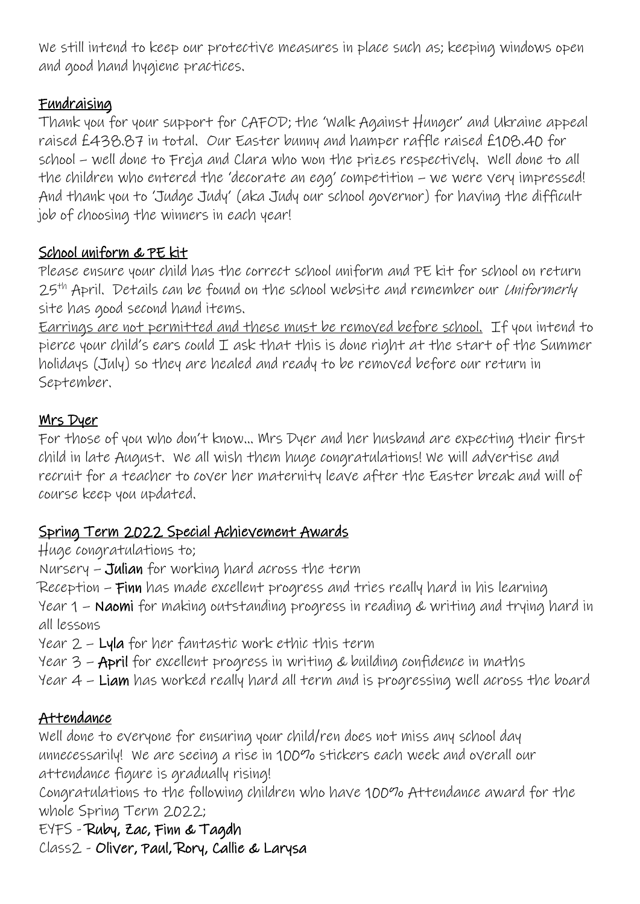We still intend to keep our protective measures in place such as; keeping windows open and good hand hygiene practices.

#### Fundraising

Thank you for your support for CAFOD; the 'Walk Against Hunger' and Ukraine appeal raised £438.87 in total. Our Easter bunny and hamper raffle raised £108.40 for school – well done to Freja and Clara who won the prizes respectively. Well done to all the children who entered the 'decorate an egg' competition – we were very impressed! And thank you to 'Judge Judy' (aka Judy our school governor) for having the difficult job of choosing the winners in each year!

#### School uniform & PE kit

Please ensure your child has the correct school uniform and PE kit for school on return 25<sup>th</sup> April. Details can be found on the school website and remember our *Uniformerly* site has good second hand items.

Earrings are not permitted and these must be removed before school. If you intend to pierce your child's ears could  $I$  ask that this is done right at the start of the Summer holidays (July) so they are healed and ready to be removed before our return in September.

#### Mrs Dyer

For those of you who don't know… Mrs Dyer and her husband are expecting their first child in late August. We all wish them huge congratulations! We will advertise and recruit for a teacher to cover her maternity leave after the Easter break and will of course keep you updated.

# Spring Term 2022 Special Achievement Awards

#### Huge congratulations to;

Nursery – Julian for working hard across the term

Reception – Finn has made excellent progress and tries really hard in his learning

Year 1 – Naomi for making outstanding progress in reading & writing and trying hard in all lessons

Year 2 – Lyla for her fantastic work ethic this term

Year 3 – April for excellent progress in writing & building confidence in maths

Year 4 – Liam has worked really hard all term and is progressing well across the board

# Attendance

Well done to everyone for ensuring your child/ren does not miss any school day unnecessarily! We are seeing a rise in 100% stickers each week and overall our attendance figure is gradually rising!

Congratulations to the following children who have 100% Attendance award for the whole Spring Term 2022;

EYFS - Ruby, Zac, Finn & Tagdh

Class2 - Oliver, Paul, Rory, Callie & Larysa